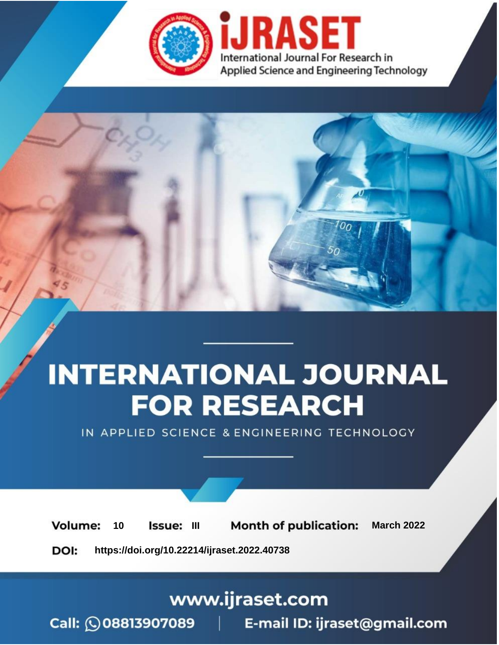

# **INTERNATIONAL JOURNAL FOR RESEARCH**

IN APPLIED SCIENCE & ENGINEERING TECHNOLOGY

10 **Issue: III Month of publication:** March 2022 **Volume:** 

**https://doi.org/10.22214/ijraset.2022.40738**DOI:

www.ijraset.com

Call: 008813907089 | E-mail ID: ijraset@gmail.com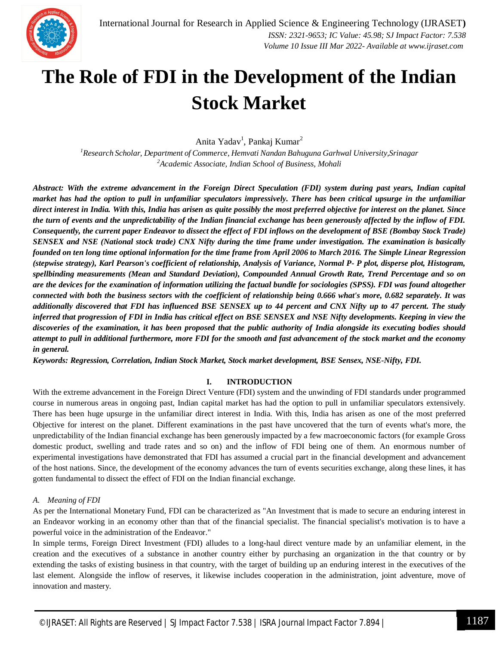

### **The Role of FDI in the Development of the Indian Stock Market**

Anita Yadav<sup>1</sup>, Pankaj Kumar<sup>2</sup>

*<sup>1</sup>Research Scholar, Department of Commerce, Hemvati Nandan Bahuguna Garhwal University,Srinagar <sup>2</sup>Academic Associate, Indian School of Business, Mohali*

*Abstract: With the extreme advancement in the Foreign Direct Speculation (FDI) system during past years, Indian capital market has had the option to pull in unfamiliar speculators impressively. There has been critical upsurge in the unfamiliar direct interest in India. With this, India has arisen as quite possibly the most preferred objective for interest on the planet. Since the turn of events and the unpredictability of the Indian financial exchange has been generously affected by the inflow of FDI. Consequently, the current paper Endeavor to dissect the effect of FDI inflows on the development of BSE (Bombay Stock Trade) SENSEX and NSE (National stock trade) CNX Nifty during the time frame under investigation. The examination is basically founded on ten long time optional information for the time frame from April 2006 to March 2016. The Simple Linear Regression (stepwise strategy), Karl Pearson's coefficient of relationship, Analysis of Variance, Normal P- P plot, disperse plot, Histogram, spellbinding measurements (Mean and Standard Deviation), Compounded Annual Growth Rate, Trend Percentage and so on are the devices for the examination of information utilizing the factual bundle for sociologies (SPSS). FDI was found altogether connected with both the business sectors with the coefficient of relationship being 0.666 what's more, 0.682 separately. It was additionally discovered that FDI has influenced BSE SENSEX up to 44 percent and CNX Nifty up to 47 percent. The study inferred that progression of FDI in India has critical effect on BSE SENSEX and NSE Nifty developments. Keeping in view the discoveries of the examination, it has been proposed that the public authority of India alongside its executing bodies should attempt to pull in additional furthermore, more FDI for the smooth and fast advancement of the stock market and the economy in general.*

*Keywords: Regression, Correlation, Indian Stock Market, Stock market development, BSE Sensex, NSE-Nifty, FDI.*

#### **I. INTRODUCTION**

With the extreme advancement in the Foreign Direct Venture (FDI) system and the unwinding of FDI standards under programmed course in numerous areas in ongoing past, Indian capital market has had the option to pull in unfamiliar speculators extensively. There has been huge upsurge in the unfamiliar direct interest in India. With this, India has arisen as one of the most preferred Objective for interest on the planet. Different examinations in the past have uncovered that the turn of events what's more, the unpredictability of the Indian financial exchange has been generously impacted by a few macroeconomic factors (for example Gross domestic product, swelling and trade rates and so on) and the inflow of FDI being one of them. An enormous number of experimental investigations have demonstrated that FDI has assumed a crucial part in the financial development and advancement of the host nations. Since, the development of the economy advances the turn of events securities exchange, along these lines, it has gotten fundamental to dissect the effect of FDI on the Indian financial exchange.

#### *A. Meaning of FDI*

As per the International Monetary Fund, FDI can be characterized as "An Investment that is made to secure an enduring interest in an Endeavor working in an economy other than that of the financial specialist. The financial specialist's motivation is to have a powerful voice in the administration of the Endeavor."

In simple terms, Foreign Direct Investment (FDI) alludes to a long-haul direct venture made by an unfamiliar element, in the creation and the executives of a substance in another country either by purchasing an organization in the that country or by extending the tasks of existing business in that country, with the target of building up an enduring interest in the executives of the last element. Alongside the inflow of reserves, it likewise includes cooperation in the administration, joint adventure, move of innovation and mastery.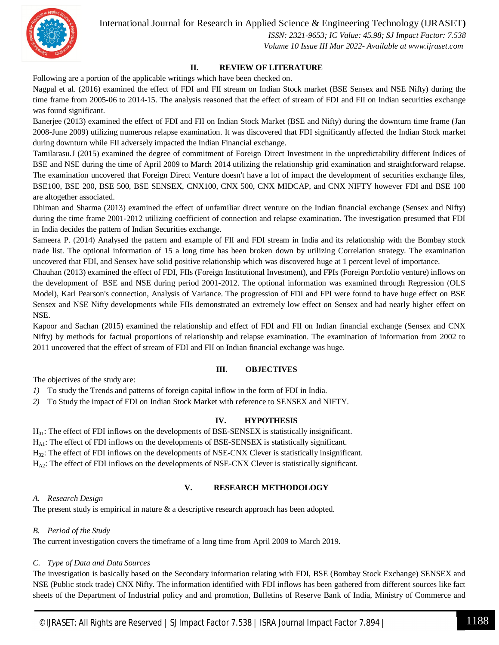International Journal for Research in Applied Science & Engineering Technology (IJRASET**)**



 *ISSN: 2321-9653; IC Value: 45.98; SJ Impact Factor: 7.538 Volume 10 Issue III Mar 2022- Available at www.ijraset.com*

#### **II. REVIEW OF LITERATURE**

Following are a portion of the applicable writings which have been checked on.

Nagpal et al. (2016) examined the effect of FDI and FII stream on Indian Stock market (BSE Sensex and NSE Nifty) during the time frame from 2005-06 to 2014-15. The analysis reasoned that the effect of stream of FDI and FII on Indian securities exchange was found significant.

Banerjee (2013) examined the effect of FDI and FII on Indian Stock Market (BSE and Nifty) during the downturn time frame (Jan 2008-June 2009) utilizing numerous relapse examination. It was discovered that FDI significantly affected the Indian Stock market during downturn while FII adversely impacted the Indian Financial exchange.

Tamilarasu.J (2015) examined the degree of commitment of Foreign Direct Investment in the unpredictability different Indices of BSE and NSE during the time of April 2009 to March 2014 utilizing the relationship grid examination and straightforward relapse. The examination uncovered that Foreign Direct Venture doesn't have a lot of impact the development of securities exchange files, BSE100, BSE 200, BSE 500, BSE SENSEX, CNX100, CNX 500, CNX MIDCAP, and CNX NIFTY however FDI and BSE 100 are altogether associated.

Dhiman and Sharma (2013) examined the effect of unfamiliar direct venture on the Indian financial exchange (Sensex and Nifty) during the time frame 2001-2012 utilizing coefficient of connection and relapse examination. The investigation presumed that FDI in India decides the pattern of Indian Securities exchange.

Sameera P. (2014) Analysed the pattern and example of FII and FDI stream in India and its relationship with the Bombay stock trade list. The optional information of 15 a long time has been broken down by utilizing Correlation strategy. The examination uncovered that FDI, and Sensex have solid positive relationship which was discovered huge at 1 percent level of importance.

Chauhan (2013) examined the effect of FDI, FIIs (Foreign Institutional Investment), and FPIs (Foreign Portfolio venture) inflows on the development of BSE and NSE during period 2001-2012. The optional information was examined through Regression (OLS Model), Karl Pearson's connection, Analysis of Variance. The progression of FDI and FPI were found to have huge effect on BSE Sensex and NSE Nifty developments while FIIs demonstrated an extremely low effect on Sensex and had nearly higher effect on NSE.

Kapoor and Sachan (2015) examined the relationship and effect of FDI and FII on Indian financial exchange (Sensex and CNX Nifty) by methods for factual proportions of relationship and relapse examination. The examination of information from 2002 to 2011 uncovered that the effect of stream of FDI and FII on Indian financial exchange was huge.

#### **III. OBJECTIVES**

The objectives of the study are:

- *1)* To study the Trends and patterns of foreign capital inflow in the form of FDI in India.
- *2)* To Study the impact of FDI on Indian Stock Market with reference to SENSEX and NIFTY.

#### **IV. HYPOTHESIS**

 $H<sub>01</sub>$ : The effect of FDI inflows on the developments of BSE-SENSEX is statistically insignificant.

HA1: The effect of FDI inflows on the developments of BSE-SENSEX is statistically significant.

H02: The effect of FDI inflows on the developments of NSE-CNX Clever is statistically insignificant.

 $H_{A2}$ : The effect of FDI inflows on the developments of NSE-CNX Clever is statistically significant.

#### **V. RESEARCH METHODOLOGY**

#### *A. Research Design*

The present study is empirical in nature & a descriptive research approach has been adopted.

#### *B. Period of the Study*

The current investigation covers the timeframe of a long time from April 2009 to March 2019.

#### *C. Type of Data and Data Sources*

The investigation is basically based on the Secondary information relating with FDI, BSE (Bombay Stock Exchange) SENSEX and NSE (Public stock trade) CNX Nifty. The information identified with FDI inflows has been gathered from different sources like fact sheets of the Department of Industrial policy and and promotion, Bulletins of Reserve Bank of India, Ministry of Commerce and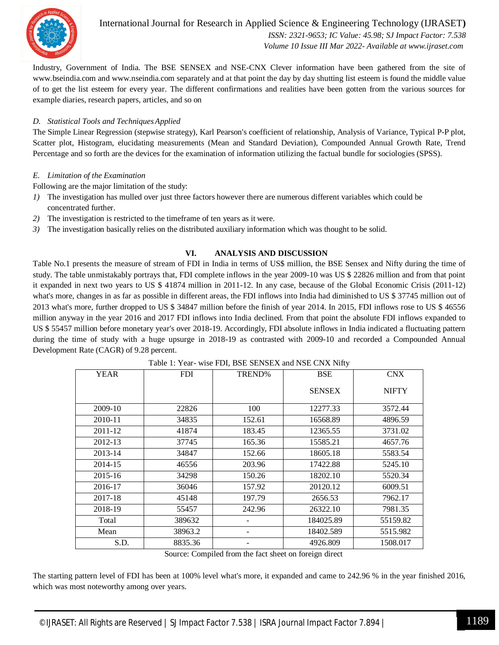

International Journal for Research in Applied Science & Engineering Technology (IJRASET**)**  *ISSN: 2321-9653; IC Value: 45.98; SJ Impact Factor: 7.538 Volume 10 Issue III Mar 2022- Available at www.ijraset.com*

Industry, Government of India. The BSE SENSEX and NSE-CNX Clever information have been gathered from the site of www.bseindia.com and www.nseindia.com separately and at that point the day by day shutting list esteem is found the middle value of to get the list esteem for every year. The different confirmations and realities have been gotten from the various sources for example diaries, research papers, articles, and so on

#### *D. Statistical Tools and TechniquesApplied*

The Simple Linear Regression (stepwise strategy), Karl Pearson's coefficient of relationship, Analysis of Variance, Typical P-P plot, Scatter plot, Histogram, elucidating measurements (Mean and Standard Deviation), Compounded Annual Growth Rate, Trend Percentage and so forth are the devices for the examination of information utilizing the factual bundle for sociologies (SPSS).

#### *E. Limitation of the Examination*

Following are the major limitation of the study:

- *1)* The investigation has mulled over just three factors however there are numerous different variables which could be concentrated further.
- *2)* The investigation is restricted to the timeframe of ten years as it were.
- *3)* The investigation basically relies on the distributed auxiliary information which was thought to be solid.

#### **VI. ANALYSIS AND DISCUSSION**

Table No.1 presents the measure of stream of FDI in India in terms of US\$ million, the BSE Sensex and Nifty during the time of study. The table unmistakably portrays that, FDI complete inflows in the year 2009-10 was US \$ 22826 million and from that point it expanded in next two years to US \$ 41874 million in 2011-12. In any case, because of the Global Economic Crisis (2011-12) what's more, changes in as far as possible in different areas, the FDI inflows into India had diminished to US \$ 37745 million out of 2013 what's more, further dropped to US \$ 34847 million before the finish of year 2014. In 2015, FDI inflows rose to US \$ 46556 million anyway in the year 2016 and 2017 FDI inflows into India declined. From that point the absolute FDI inflows expanded to US \$ 55457 million before monetary year's over 2018-19. Accordingly, FDI absolute inflows in India indicated a fluctuating pattern during the time of study with a huge upsurge in 2018-19 as contrasted with 2009-10 and recorded a Compounded Annual Development Rate (CAGR) of 9.28 percent.

| <b>YEAR</b> | <b>FDI</b> | TREND% | <b>BSE</b>    | <b>CNX</b>   |
|-------------|------------|--------|---------------|--------------|
|             |            |        | <b>SENSEX</b> | <b>NIFTY</b> |
| 2009-10     | 22826      | 100    | 12277.33      | 3572.44      |
| 2010-11     | 34835      | 152.61 | 16568.89      | 4896.59      |
| 2011-12     | 41874      | 183.45 | 12365.55      | 3731.02      |
| 2012-13     | 37745      | 165.36 | 15585.21      | 4657.76      |
| 2013-14     | 34847      | 152.66 | 18605.18      | 5583.54      |
| 2014-15     | 46556      | 203.96 | 17422.88      | 5245.10      |
| 2015-16     | 34298      | 150.26 | 18202.10      | 5520.34      |
| 2016-17     | 36046      | 157.92 | 20120.12      | 6009.51      |
| 2017-18     | 45148      | 197.79 | 2656.53       | 7962.17      |
| 2018-19     | 55457      | 242.96 | 26322.10      | 7981.35      |
| Total       | 389632     |        | 184025.89     | 55159.82     |
| Mean        | 38963.2    |        | 18402.589     | 5515.982     |
| S.D.        | 8835.36    |        | 4926.809      | 1508.017     |

Table 1: Year- wise FDI, BSE SENSEX and NSE CNX Nifty

Source: Compiled from the fact sheet on foreign direct

The starting pattern level of FDI has been at 100% level what's more, it expanded and came to 242.96 % in the year finished 2016, which was most noteworthy among over years.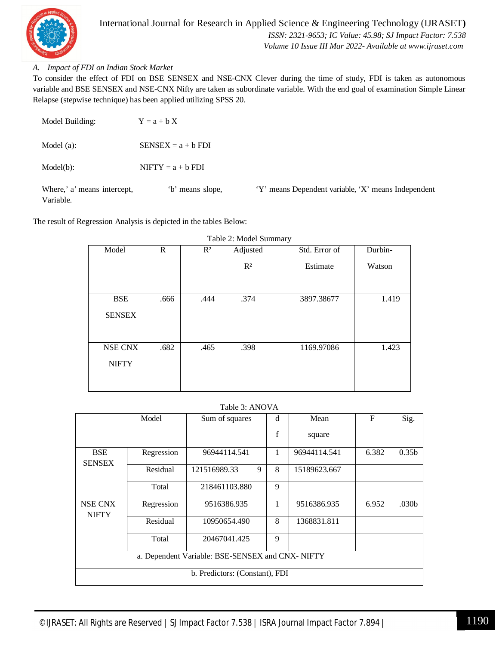

#### *A. Impact of FDI on Indian Stock Market*

To consider the effect of FDI on BSE SENSEX and NSE-CNX Clever during the time of study, FDI is taken as autonomous variable and BSE SENSEX and NSE-CNX Nifty are taken as subordinate variable. With the end goal of examination Simple Linear Relapse (stepwise technique) has been applied utilizing SPSS 20.

| Model Building:                          | $Y = a + b X$        |                                                     |
|------------------------------------------|----------------------|-----------------------------------------------------|
| Model $(a)$ :                            | $SENSEX = a + b FDI$ |                                                     |
| Model(b):                                | $NIFTY = a + b FDI$  |                                                     |
| Where,' a' means intercept,<br>Variable. | 'b' means slope,     | 'Y' means Dependent variable, 'X' means Independent |

The result of Regression Analysis is depicted in the tables Below:

| $1.0012 = 1.100001 = 0.0000001$ |      |       |          |               |         |  |
|---------------------------------|------|-------|----------|---------------|---------|--|
| Model                           | R    | $R^2$ | Adjusted | Std. Error of | Durbin- |  |
|                                 |      |       | $R^2$    | Estimate      | Watson  |  |
|                                 |      |       |          |               |         |  |
| <b>BSE</b>                      | .666 | .444  | .374     | 3897.38677    | 1.419   |  |
| <b>SENSEX</b>                   |      |       |          |               |         |  |
|                                 |      |       |          |               |         |  |
| NSE CNX                         | .682 | .465  | .398     | 1169.97086    | 1.423   |  |
| <b>NIFTY</b>                    |      |       |          |               |         |  |
|                                 |      |       |          |               |         |  |
|                                 |      |       |          |               |         |  |

Table 2: Model Summary

#### Table 3: ANOVA

|                                                  | Model      | Sum of squares<br>d            |   | Mean         | F     | Sig.              |
|--------------------------------------------------|------------|--------------------------------|---|--------------|-------|-------------------|
|                                                  |            |                                | f | square       |       |                   |
| <b>BSE</b><br><b>SENSEX</b>                      | Regression | 96944114.541                   | 1 | 96944114.541 | 6.382 | 0.35 <sub>b</sub> |
|                                                  | Residual   | 121516989.33<br>9              | 8 | 15189623.667 |       |                   |
|                                                  | Total      | 218461103.880                  | 9 |              |       |                   |
| NSE CNX<br><b>NIFTY</b>                          | Regression | 9516386.935                    | 1 | 9516386.935  | 6.952 | .030b             |
|                                                  | Residual   | 10950654.490                   | 8 | 1368831.811  |       |                   |
|                                                  | Total      | 20467041.425                   | 9 |              |       |                   |
| a. Dependent Variable: BSE-SENSEX and CNX- NIFTY |            |                                |   |              |       |                   |
|                                                  |            | b. Predictors: (Constant), FDI |   |              |       |                   |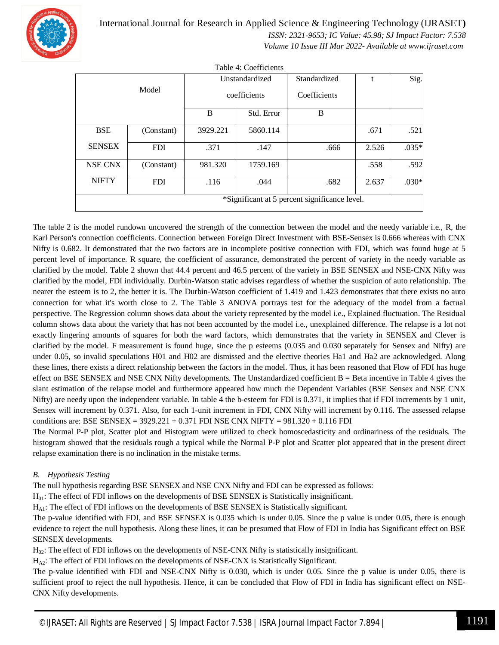

International Journal for Research in Applied Science & Engineering Technology (IJRASET**)**  *ISSN: 2321-9653; IC Value: 45.98; SJ Impact Factor: 7.538 Volume 10 Issue III Mar 2022- Available at www.ijraset.com*

|                                               |            |                | Table 4: Coefficients |              |       |         |
|-----------------------------------------------|------------|----------------|-----------------------|--------------|-------|---------|
|                                               |            | Unstandardized |                       | Standardized | t     | Sig.    |
|                                               | Model      |                | coefficients          | Coefficients |       |         |
|                                               |            | B              | Std. Error            | B            |       |         |
| <b>BSE</b>                                    | (Constant) | 3929.221       | 5860.114              |              | .671  | .521    |
| <b>SENSEX</b>                                 | <b>FDI</b> | .371           | .147                  | .666         | 2.526 | $.035*$ |
| NSE CNX                                       | (Constant) | 981.320        | 1759.169              |              | .558  | .592    |
| <b>NIFTY</b>                                  | <b>FDI</b> | .116           | .044                  | .682         | 2.637 | $.030*$ |
| *Significant at 5 percent significance level. |            |                |                       |              |       |         |

The table 2 is the model rundown uncovered the strength of the connection between the model and the needy variable i.e., R, the Karl Person's connection coefficients. Connection between Foreign Direct Investment with BSE-Sensex is 0.666 whereas with CNX Nifty is 0.682. It demonstrated that the two factors are in incomplete positive connection with FDI, which was found huge at 5 percent level of importance. R square, the coefficient of assurance, demonstrated the percent of variety in the needy variable as clarified by the model. Table 2 shown that 44.4 percent and 46.5 percent of the variety in BSE SENSEX and NSE-CNX Nifty was clarified by the model, FDI individually. Durbin-Watson static advises regardless of whether the suspicion of auto relationship. The nearer the esteem is to 2, the better it is. The Durbin-Watson coefficient of 1.419 and 1.423 demonstrates that there exists no auto connection for what it's worth close to 2. The Table 3 ANOVA portrays test for the adequacy of the model from a factual perspective. The Regression column shows data about the variety represented by the model i.e., Explained fluctuation. The Residual column shows data about the variety that has not been accounted by the model i.e., unexplained difference. The relapse is a lot not exactly lingering amounts of squares for both the ward factors, which demonstrates that the variety in SENSEX and Clever is clarified by the model. F measurement is found huge, since the p esteems (0.035 and 0.030 separately for Sensex and Nifty) are under 0.05, so invalid speculations H01 and H02 are dismissed and the elective theories Ha1 and Ha2 are acknowledged. Along these lines, there exists a direct relationship between the factors in the model. Thus, it has been reasoned that Flow of FDI has huge effect on BSE SENSEX and NSE CNX Nifty developments. The Unstandardized coefficient B = Beta incentive in Table 4 gives the slant estimation of the relapse model and furthermore appeared how much the Dependent Variables (BSE Sensex and NSE CNX Nifty) are needy upon the independent variable. In table 4 the b-esteem for FDI is 0.371, it implies that if FDI increments by 1 unit, Sensex will increment by 0.371. Also, for each 1-unit increment in FDI, CNX Nifty will increment by 0.116. The assessed relapse conditions are: BSE SENSEX = 3929.221 + 0.371 FDI NSE CNX NIFTY = 981.320 + 0.116 FDI

The Normal P-P plot, Scatter plot and Histogram were utilized to check homoscedasticity and ordinariness of the residuals. The histogram showed that the residuals rough a typical while the Normal P-P plot and Scatter plot appeared that in the present direct relapse examination there is no inclination in the mistake terms.

#### *B. Hypothesis Testing*

The null hypothesis regarding BSE SENSEX and NSE CNX Nifty and FDI can be expressed as follows:

H01: The effect of FDI inflows on the developments of BSE SENSEX is Statistically insignificant.

HA1: The effect of FDI inflows on the developments of BSE SENSEX is Statistically significant.

The p-value identified with FDI, and BSE SENSEX is 0.035 which is under 0.05. Since the p value is under 0.05, there is enough evidence to reject the null hypothesis. Along these lines, it can be presumed that Flow of FDI in India has Significant effect on BSE SENSEX developments.

H02: The effect of FDI inflows on the developments of NSE-CNX Nifty is statistically insignificant.

 $H_{\Delta}$ : The effect of FDI inflows on the developments of NSE-CNX is Statistically Significant.

The p-value identified with FDI and NSE-CNX Nifty is 0.030, which is under 0.05. Since the p value is under 0.05, there is sufficient proof to reject the null hypothesis. Hence, it can be concluded that Flow of FDI in India has significant effect on NSE-CNX Nifty developments.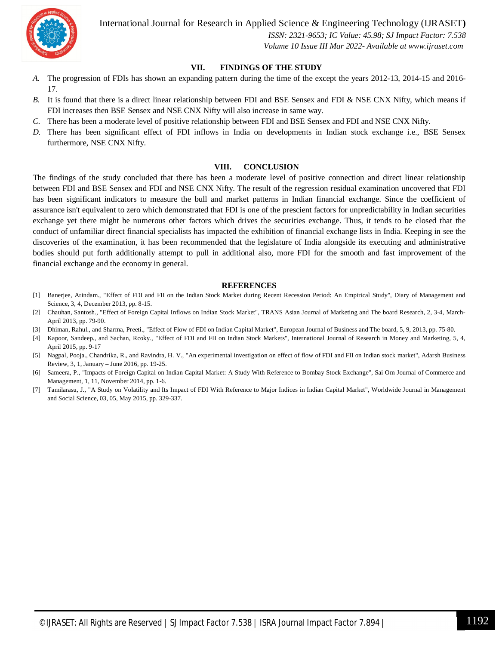

International Journal for Research in Applied Science & Engineering Technology (IJRASET**)**

 *ISSN: 2321-9653; IC Value: 45.98; SJ Impact Factor: 7.538 Volume 10 Issue III Mar 2022- Available at www.ijraset.com*

#### **VII. FINDINGS OF THE STUDY**

- *A.* The progression of FDIs has shown an expanding pattern during the time of the except the years 2012-13, 2014-15 and 2016- 17.
- *B.* It is found that there is a direct linear relationship between FDI and BSE Sensex and FDI & NSE CNX Nifty, which means if FDI increases then BSE Sensex and NSE CNX Nifty will also increase in same way.
- *C.* There has been a moderate level of positive relationship between FDI and BSE Sensex and FDI and NSE CNX Nifty.
- *D.* There has been significant effect of FDI inflows in India on developments in Indian stock exchange i.e., BSE Sensex furthermore, NSE CNX Nifty.

#### **VIII. CONCLUSION**

The findings of the study concluded that there has been a moderate level of positive connection and direct linear relationship between FDI and BSE Sensex and FDI and NSE CNX Nifty. The result of the regression residual examination uncovered that FDI has been significant indicators to measure the bull and market patterns in Indian financial exchange. Since the coefficient of assurance isn't equivalent to zero which demonstrated that FDI is one of the prescient factors for unpredictability in Indian securities exchange yet there might be numerous other factors which drives the securities exchange. Thus, it tends to be closed that the conduct of unfamiliar direct financial specialists has impacted the exhibition of financial exchange lists in India. Keeping in see the discoveries of the examination, it has been recommended that the legislature of India alongside its executing and administrative bodies should put forth additionally attempt to pull in additional also, more FDI for the smooth and fast improvement of the financial exchange and the economy in general.

#### **REFERENCES**

- [1] Banerjee, Arindam., "Effect of FDI and FII on the Indian Stock Market during Recent Recession Period: An Empirical Study", Diary of Management and Science, 3, 4, December 2013, pp. 8-15.
- [2] Chauhan, Santosh., "Effect of Foreign Capital Inflows on Indian Stock Market", TRANS Asian Journal of Marketing and The board Research, 2, 3-4, March-April 2013, pp. 79-90.
- [3] Dhiman, Rahul., and Sharma, Preeti., "Effect of Flow of FDI on Indian Capital Market", European Journal of Business and The board, 5, 9, 2013, pp. 75-80.
- [4] Kapoor, Sandeep., and Sachan, Rcoky., "Effect of FDI and FII on Indian Stock Markets", International Journal of Research in Money and Marketing, 5, 4, April 2015, pp. 9-17
- [5] Nagpal, Pooja., Chandrika, R., and Ravindra, H. V., "An experimental investigation on effect of flow of FDI and FII on Indian stock market", Adarsh Business Review, 3, 1, January – June 2016, pp. 19-25.
- [6] Sameera, P., "Impacts of Foreign Capital on Indian Capital Market: A Study With Reference to Bombay Stock Exchange", Sai Om Journal of Commerce and Management, 1, 11, November 2014, pp. 1-6.
- [7] Tamilarasu, J., "A Study on Volatility and Its Impact of FDI With Reference to Major Indices in Indian Capital Market", Worldwide Journal in Management and Social Science, 03, 05, May 2015, pp. 329-337.